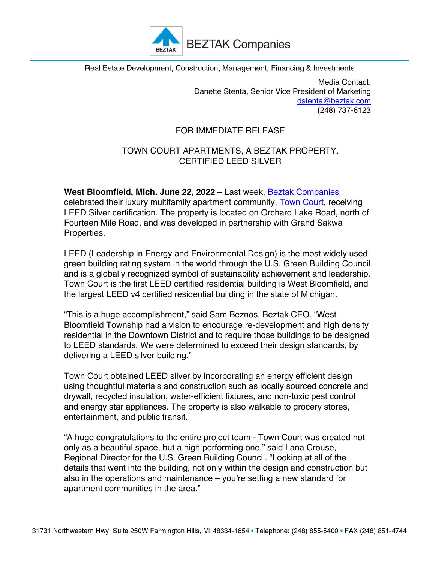

Real Estate Development, Construction, Management, Financing & Investments

Media Contact: Danette Stenta, Senior Vice President of Marketing dstenta@beztak.com (248) 737-6123

## FOR IMMEDIATE RELEASE

## TOWN COURT APARTMENTS, A BEZTAK PROPERTY, CERTIFIED LEED SILVER

**West Bloomfield, Mich. June 22, 2022 –** Last week, Beztak Companies celebrated their luxury multifamily apartment community, **Town Court**, receiving LEED Silver certification. The property is located on Orchard Lake Road, north of Fourteen Mile Road, and was developed in partnership with Grand Sakwa Properties.

LEED (Leadership in Energy and Environmental Design) is the most widely used green building rating system in the world through the U.S. Green Building Council and is a globally recognized symbol of sustainability achievement and leadership. Town Court is the first LEED certified residential building is West Bloomfield, and the largest LEED v4 certified residential building in the state of Michigan.

"This is a huge accomplishment," said Sam Beznos, Beztak CEO. "West Bloomfield Township had a vision to encourage re-development and high density residential in the Downtown District and to require those buildings to be designed to LEED standards. We were determined to exceed their design standards, by delivering a LEED silver building."

Town Court obtained LEED silver by incorporating an energy efficient design using thoughtful materials and construction such as locally sourced concrete and drywall, recycled insulation, water-efficient fixtures, and non-toxic pest control and energy star appliances. The property is also walkable to grocery stores, entertainment, and public transit.

"A huge congratulations to the entire project team - Town Court was created not only as a beautiful space, but a high performing one," said Lana Crouse, Regional Director for the U.S. Green Building Council. "Looking at all of the details that went into the building, not only within the design and construction but also in the operations and maintenance – you're setting a new standard for apartment communities in the area."